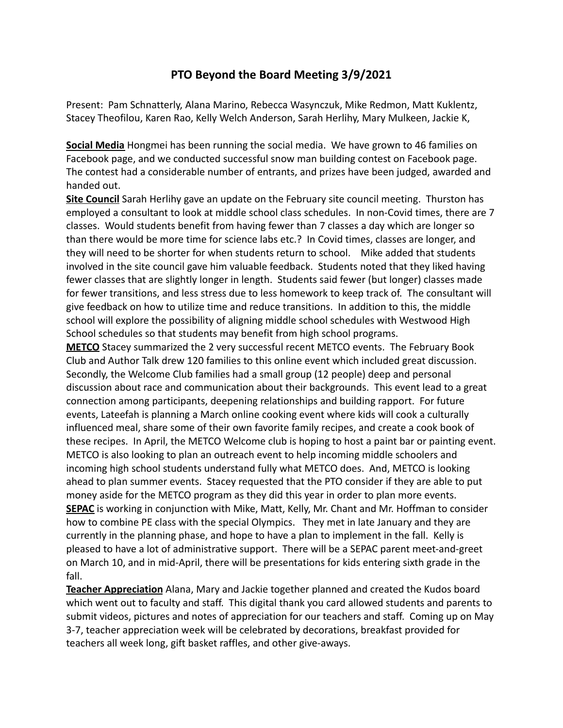## **PTO Beyond the Board Meeting 3/9/2021**

Present: Pam Schnatterly, Alana Marino, Rebecca Wasynczuk, Mike Redmon, Matt Kuklentz, Stacey Theofilou, Karen Rao, Kelly Welch Anderson, Sarah Herlihy, Mary Mulkeen, Jackie K,

**Social Media** Hongmei has been running the social media. We have grown to 46 families on Facebook page, and we conducted successful snow man building contest on Facebook page. The contest had a considerable number of entrants, and prizes have been judged, awarded and handed out.

**Site Council** Sarah Herlihy gave an update on the February site council meeting. Thurston has employed a consultant to look at middle school class schedules. In non-Covid times, there are 7 classes. Would students benefit from having fewer than 7 classes a day which are longer so than there would be more time for science labs etc.? In Covid times, classes are longer, and they will need to be shorter for when students return to school. Mike added that students involved in the site council gave him valuable feedback. Students noted that they liked having fewer classes that are slightly longer in length. Students said fewer (but longer) classes made for fewer transitions, and less stress due to less homework to keep track of. The consultant will give feedback on how to utilize time and reduce transitions. In addition to this, the middle school will explore the possibility of aligning middle school schedules with Westwood High School schedules so that students may benefit from high school programs.

**METCO** Stacey summarized the 2 very successful recent METCO events. The February Book Club and Author Talk drew 120 families to this online event which included great discussion. Secondly, the Welcome Club families had a small group (12 people) deep and personal discussion about race and communication about their backgrounds. This event lead to a great connection among participants, deepening relationships and building rapport. For future events, Lateefah is planning a March online cooking event where kids will cook a culturally influenced meal, share some of their own favorite family recipes, and create a cook book of these recipes. In April, the METCO Welcome club is hoping to host a paint bar or painting event. METCO is also looking to plan an outreach event to help incoming middle schoolers and incoming high school students understand fully what METCO does. And, METCO is looking ahead to plan summer events. Stacey requested that the PTO consider if they are able to put money aside for the METCO program as they did this year in order to plan more events. **SEPAC** is working in conjunction with Mike, Matt, Kelly, Mr. Chant and Mr. Hoffman to consider how to combine PE class with the special Olympics. They met in late January and they are currently in the planning phase, and hope to have a plan to implement in the fall. Kelly is pleased to have a lot of administrative support. There will be a SEPAC parent meet-and-greet on March 10, and in mid-April, there will be presentations for kids entering sixth grade in the fall.

**Teacher Appreciation** Alana, Mary and Jackie together planned and created the Kudos board which went out to faculty and staff. This digital thank you card allowed students and parents to submit videos, pictures and notes of appreciation for our teachers and staff. Coming up on May 3-7, teacher appreciation week will be celebrated by decorations, breakfast provided for teachers all week long, gift basket raffles, and other give-aways.